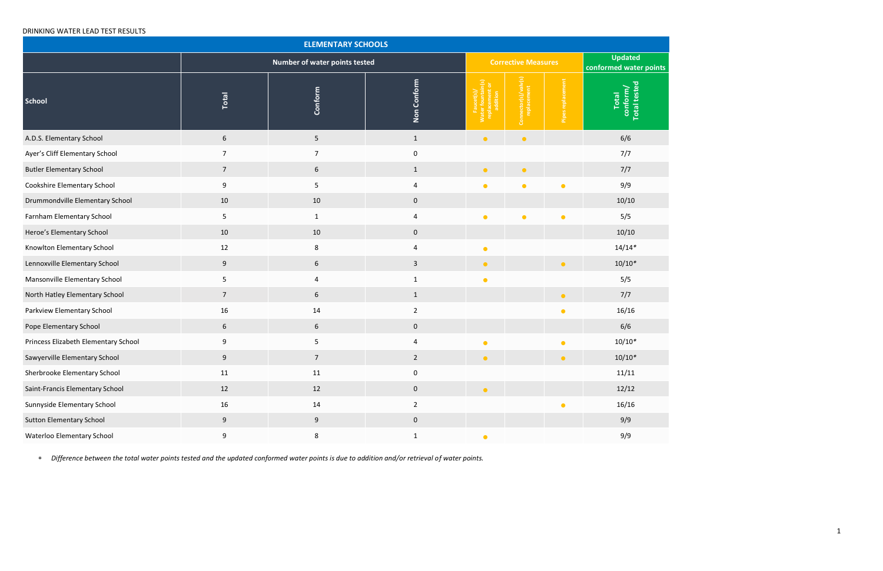## DRINKING WATER LEAD TEST RESULTS

| <b>ELEMENTARY SCHOOLS</b>            |                  |                               |                |                                     |                                     |                   |                                          |  |
|--------------------------------------|------------------|-------------------------------|----------------|-------------------------------------|-------------------------------------|-------------------|------------------------------------------|--|
|                                      |                  | Number of water points tested |                |                                     | <b>Corrective Measures</b>          |                   | <b>Updated</b><br>conformed water p      |  |
| <b>School</b>                        | Total            | Conform                       | Non Conform    | <b>Pa</b><br>$\overline{\tilde{z}}$ | Connector(s)/valv(s)<br>replacement | Pipes replacement | conform/<br>Total tested<br><b>Total</b> |  |
| A.D.S. Elementary School             | 6                | 5                             | $\mathbf{1}$   | $\bullet$                           | $\bullet$                           |                   | 6/6                                      |  |
| Ayer's Cliff Elementary School       | 7                | $\overline{7}$                | 0              |                                     |                                     |                   | 7/7                                      |  |
| <b>Butler Elementary School</b>      | $\overline{7}$   | $6\phantom{1}6$               | $\mathbf{1}$   | $\bullet$                           | $\bullet$                           |                   | 7/7                                      |  |
| Cookshire Elementary School          | 9                | 5                             | 4              | $\bullet$                           | $\bullet$                           | $\bullet$         | 9/9                                      |  |
| Drummondville Elementary School      | 10               | 10                            | 0              |                                     |                                     |                   | 10/10                                    |  |
| Farnham Elementary School            | 5                | $\mathbf{1}$                  | 4              | $\bullet$                           | $\bullet$                           | $\bullet$         | 5/5                                      |  |
| Heroe's Elementary School            | 10               | 10                            | $\pmb{0}$      |                                     |                                     |                   | 10/10                                    |  |
| Knowlton Elementary School           | 12               | $\,8\,$                       | 4              | $\bullet$                           |                                     |                   | $14/14*$                                 |  |
| Lennoxville Elementary School        | $\boldsymbol{9}$ | $\boldsymbol{6}$              | $\mathbf{3}$   | $\bullet$                           |                                     | $\bullet$         | $10/10*$                                 |  |
| Mansonville Elementary School        | 5                | 4                             | $\mathbf{1}$   | $\bullet$                           |                                     |                   | 5/5                                      |  |
| North Hatley Elementary School       | $\overline{7}$   | 6                             | $\mathbf{1}$   |                                     |                                     | $\bullet$         | 7/7                                      |  |
| Parkview Elementary School           | 16               | 14                            | $\overline{2}$ |                                     |                                     | $\bullet$         | 16/16                                    |  |
| Pope Elementary School               | 6                | $6\phantom{1}6$               | $\pmb{0}$      |                                     |                                     |                   | 6/6                                      |  |
| Princess Elizabeth Elementary School | 9                | 5                             | 4              | $\bullet$                           |                                     | $\bullet$         | $10/10*$                                 |  |
| Sawyerville Elementary School        | 9                | 7                             | $\overline{2}$ | $\bullet$                           |                                     | $\bullet$         | $10/10*$                                 |  |
| Sherbrooke Elementary School         | 11               | 11                            | 0              |                                     |                                     |                   | 11/11                                    |  |
| Saint-Francis Elementary School      | 12               | 12                            | $\mathbf 0$    | $\bullet$                           |                                     |                   | 12/12                                    |  |
| Sunnyside Elementary School          | 16               | 14                            | $\overline{2}$ |                                     |                                     |                   | 16/16                                    |  |
| <b>Sutton Elementary School</b>      | $\boldsymbol{9}$ | 9                             | $\pmb{0}$      |                                     |                                     |                   | 9/9                                      |  |
| Waterloo Elementary School           | 9                | 8                             | $\mathbf{1}$   | $\bullet$                           |                                     |                   | 9/9                                      |  |

*Difference between the total water points tested and the updated conformed water points is due to addition and/or retrieval of water points.*

**points**